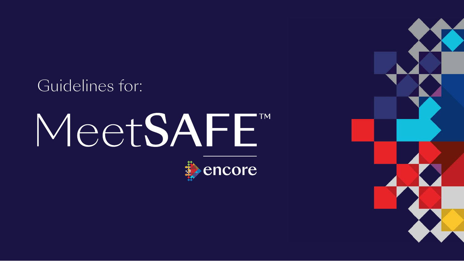## Guidelines for:

# MeetSAFE"



## encore

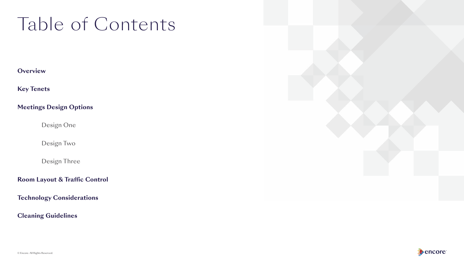## Table of Contents







**Overview** 

**Key Tenets** 

**Meetings Design Options** 

Design One

Design Two

Design Three

**Room Layout & Traffic Control** 

**Technology Considerations** 

**Cleaning Guidelines**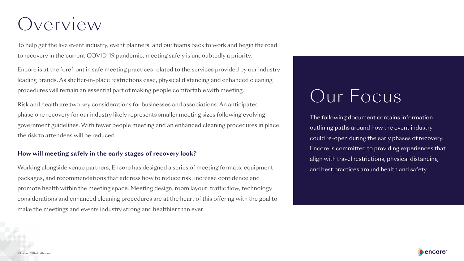- 
- 
- 
- 
- 

## Overview

To help get the live event industry, event planners, and our teams back to work and begin the road to recovery in the current COVID-19 pandemic, meeting safely is undoubtedly a priority.

Encore is at the forefront in safe meeting practices related to the services provided by our industry leading brands. As shelter-in-place restrictions ease, physical distancing and enhanced cleaning procedures will remain an essential part of making people comfortable with meeting.

#### **How will meeting safely in the early stages of recovery look?**

Risk and health are two key considerations for businesses and associations. An anticipated phase one recovery for our industry likely represents smaller meeting sizes following evolving government guidelines. With fewer people meeting and an enhanced cleaning procedures in place, the risk to attendees will be reduced.

The following document contains information outlining paths around how the event industry could re-open during the early phases of recovery. Encore is committed to providing experiences that align with travel restrictions, physical distancing and best practices around health and safety.





Working alongside venue partners, Encore has designed a series of meeting formats, equipment packages, and recommendations that address how to reduce risk, increase confidence and promote health within the meeting space. Meeting design, room layout, traffic flow, technology considerations and enhanced cleaning procedures are at the heart of this offering with the goal to make the meetings and events industry strong and healthier than ever.

## Our Focus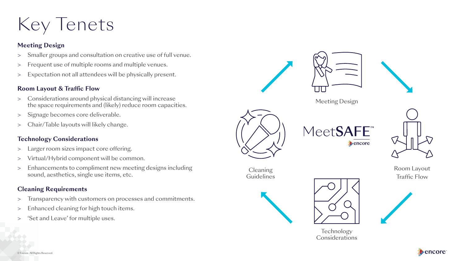







**Cleaning** 

**Guidelines** 

MeetSAFE" encore **b** 







## Key Tenets

### **Meeting Design**

- > Smaller groups and consultation on creative use of full venue.
- > Frequent use of multiple rooms and multiple venues.
- > Expectation not all attendees will be physically present.

#### **Room Layout & Traffic Flow**

- > Considerations around physical distancing will increase Meeting Design Meeting Design Meeting Design Meeting Design (likely) reduce room capacities.
- > Signage becomes core deliverable.
- > Chair/Table layouts will likely change.

- > Transparency with customers on processes and commitments.
- > Enhanced cleaning for high touch items.
- 'Set and Leave' for multiple uses.

**Technology** Considerations



### **Technology Considerations**

- > Larger room sizes impact core offering.
- > Virtual/Hybrid component will be common.
- > Enhancements to compliment new meeting designs including Cleaning Cleaning Room Layout sound, aesthetics, single use items, etc. Guidelines Guidelines Traffic Flow

### **Cleaning Requirements**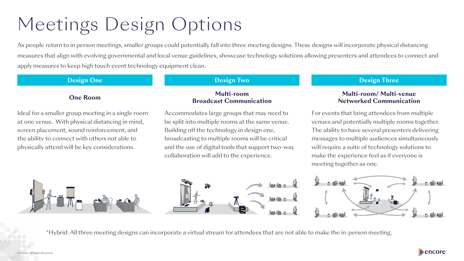#### **Design One Contract Contract Contract Contract Design Two Design Three Resign Three**

## Multi-room Multi-room Multi-room Multi-room Multi-room/ Multi-venue<br>Broadcast Communication **Retworked Communication**

## Meetings Design Options

As people return to in person meetings, smaller groups could potentially fall into three meeting designs. These designs will incorporate physical distancing measures that align with evolving governmental and local venue guidelines, showcase technology solutions allowing presenters and attendees to connect and apply measures to keep high touch event technology equipment clean.

Ideal for a smaller group meeting in a single room Accommodates large groups that may need to For events that bring attendees from multiple at one venue. With physical distancing in mind, be split into multiple rooms at the same venue. venues and potentially multiple rooms together. screen placement, sound reinforcement, and Building off the technology in design one, The ability to have several presenters delivering the ability to connect with others not able to broadcasting to multiple rooms will be critical messages to multiple audiences simultaneously physically attend will be key considerations. and the use of digital tools that support two-way will require a suite of technology solutions to

collaboration will add to the experience. make the experience feel as if everyone is



meeting together as one.





\*Hybrid: All three meeting designs can incorporate a virtual stream for attendees that are not able to make the in-person meeting.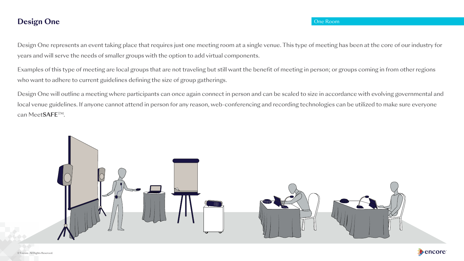







## **Design One** One Room

 Design One represents an event taking place that requires just one meeting room at a single venue. This type of meeting has been at the core of our industry for years and will serve the needs of smaller groups with the option to add virtual components.

Examples of this type of meeting are local groups that are not traveling but still want the benefit of meeting in person; or groups coming in from other regions who want to adhere to current guidelines defining the size of group gatherings.

Design One will outline a meeting where participants can once again connect in person and can be scaled to size in accordance with evolving governmental and local venue guidelines. If anyone cannot attend in person for any reason, web-conferencing and recording technologies can be utilized to make sure everyone can Meet**SAFE**TM.

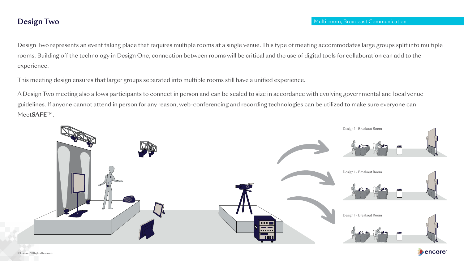Design Two represents an event taking place that requires multiple rooms at a single venue. This type of meeting accommodates large groups split into multiple rooms. Building off the technology in Design One, connection between rooms will be critical and the use of digital tools for collaboration can add to the experience.

This meeting design ensures that larger groups separated into multiple rooms still have a unified experience.

A Design Two meeting also allows participants to connect in person and can be scaled to size in accordance with evolving governmental and local venue guidelines. If anyone cannot attend in person for any reason, web-conferencing and recording technologies can be utilized to make sure everyone can Meet**SAFE**TM.





![](_page_6_Picture_8.jpeg)

![](_page_6_Picture_9.jpeg)

![](_page_6_Picture_10.jpeg)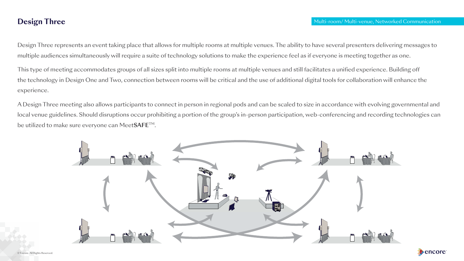![](_page_7_Picture_7.jpeg)

Design Three represents an event taking place that allows for multiple rooms at multiple venues. The ability to have several presenters delivering messages to multiple audiences simultaneously will require a suite of technology solutions to make the experience feel as if everyone is meeting together as one.

This type of meeting accommodates groups of all sizes split into multiple rooms at multiple venues and still facilitates a unified experience. Building off the technology in Design One and Two, connection between rooms will be critical and the use of additional digital tools for collaboration will enhance the experience.

A Design Three meeting also allows participants to connect in person in regional pods and can be scaled to size in accordance with evolving governmental and local venue guidelines. Should disruptions occur prohibiting a portion of the group's in-person participation, web-conferencing and recording technologies can be utilized to make sure everyone can Meet**SAFE**TM.

![](_page_7_Picture_4.jpeg)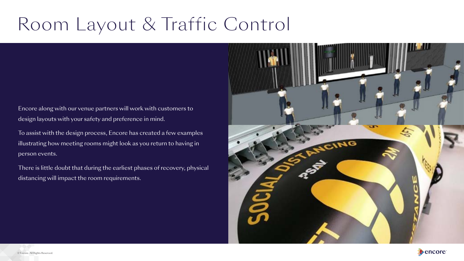![](_page_8_Picture_6.jpeg)

![](_page_8_Picture_7.jpeg)

## Room Layout & Traffic Control

Encore along with our venue partners will work with customers to design layouts with your safety and preference in mind.

To assist with the design process, Encore has created a few examples illustrating how meeting rooms might look as you return to having in person events.

There is little doubt that during the earliest phases of recovery, physical distancing will impact the room requirements.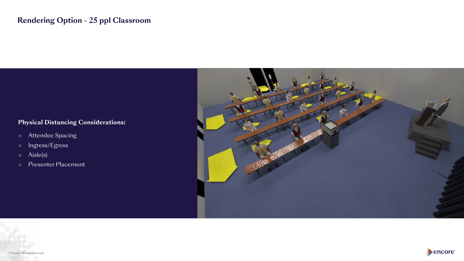![](_page_9_Picture_7.jpeg)

![](_page_9_Picture_8.jpeg)

![](_page_9_Picture_9.jpeg)

## **Rendering Option - 25 ppl Classroom**

### **Physical Distancing Considerations:**

- > Attendee Spacing
- > Ingress/Egress
- > Aisle(s)
- > Presenter Placement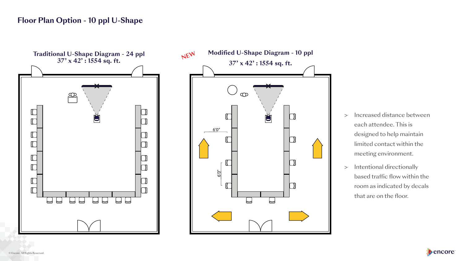## **Floor Plan Option - 10 ppl U-Shape**

- > Increased distance between each attendee. This is designed to help maintain limited contact within the meeting environment.
- > Intentional directionally based traffic flow within the room as indicated by decals that are on the floor.

![](_page_10_Picture_5.jpeg)

![](_page_10_Figure_1.jpeg)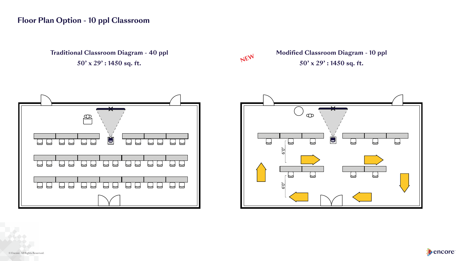**NEW** 

## **Floor Plan Option - 10 ppl Classroom**

**Traditional Classroom Diagram - 40 ppl** Modified Classroom Diagram - 10 ppl  $50' \times 29'$ : 1450 sq. ft. 50' x 29' : 1450 sq. ft.

![](_page_11_Figure_2.jpeg)

![](_page_11_Figure_5.jpeg)

![](_page_11_Picture_6.jpeg)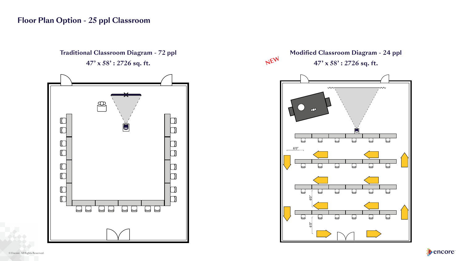## **Floor Plan Option - 25 ppl Classroom**

![](_page_12_Figure_2.jpeg)

![](_page_12_Figure_4.jpeg)

![](_page_12_Figure_5.jpeg)

![](_page_12_Picture_6.jpeg)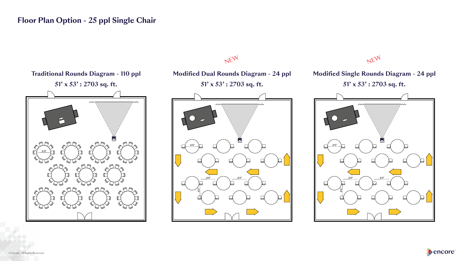## NEW

## **Floor Plan Option - 25 ppl Single Chair**

![](_page_13_Figure_8.jpeg)

![](_page_13_Picture_9.jpeg)

![](_page_13_Figure_1.jpeg)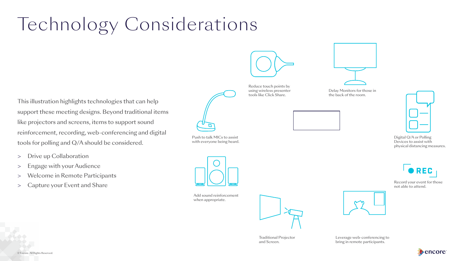![](_page_14_Picture_11.jpeg)

![](_page_14_Picture_12.jpeg)

## Technology Considerations

This illustration highlights technologies that can help support these meeting designs. Beyond traditional items like projectors and screens, items to support sound reinforcement, recording, web-conferencing and digital tools for polling and Q/A should be considered.

Reduce touch points by tools like Click Share.

![](_page_14_Picture_14.jpeg)

using wireless presenter Delay Monitors for those in<br>tools like Click Share. the back of the room.

![](_page_14_Picture_16.jpeg)

Push to talk MICs to assist Digital Q/A or Polling<br>with everyone being heard. Devices to assist with physical distancing measures.

![](_page_14_Picture_19.jpeg)

- > Drive up Collaboration
- > Engage with your Audience
- > Welcome in Remote Participants
- > Capture your Event and Share

![](_page_14_Figure_6.jpeg)

with everyone being heard.

Record your event for those not able to attend.

![](_page_14_Picture_25.jpeg)

![](_page_14_Picture_8.jpeg)

Add sound reinforcement when appropriate.

Traditional Projector and Screen.

![](_page_14_Picture_21.jpeg)

Leverage web-conferencing to bring in remote participants.

![](_page_14_Picture_23.jpeg)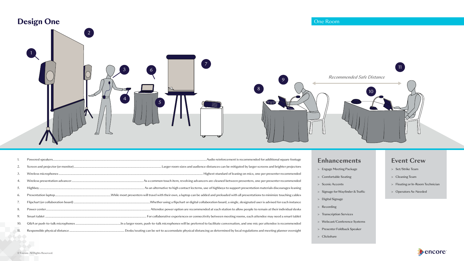![](_page_15_Figure_1.jpeg)

| 2.  |  |
|-----|--|
| 3.  |  |
| 4.  |  |
| 5.  |  |
| 6.  |  |
| 7.  |  |
| 8.  |  |
| 9.  |  |
| 10. |  |
| 11. |  |
|     |  |

#### **Enhancements**

- > Engage Meeting Package
- > Comfortable Seating
- > Scenic Accents
- > Signage for Wayfinder & Traffic
- > Digital Signage
- > Recording
- > Transcription Services
- > Webcast/Conference Systems
- > Presenter Foldback Speaker
- > Clickshare

#### **Event Crew**

- > Set/Strike Team
- > Cleaning Team
- > Floating or In-Room Technician
- > Operators As-Needed

![](_page_15_Picture_22.jpeg)

![](_page_15_Picture_23.jpeg)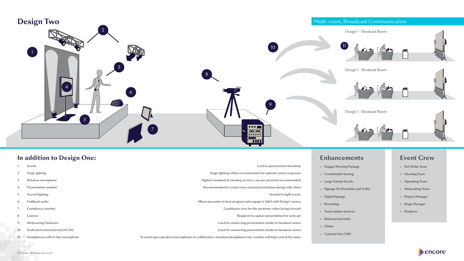![](_page_16_Figure_0.jpeg)

#### **In addition to Design One:** Enhancements Event Crew

## Design 1 - Breakout Room  $11$  $\left(10\right)$ Design 1 - Breakout Room 9 Design 1 - Breakout Room  $\bullet \bullet \bullet \blacksquare$  $- -$ <u>and a</u>  $\overline{\phantom{a}}$

- 1. Scenic Used as presentation backdrop > Engage Meeting Package > Set/Strike Team Stage lighting will be recommended for optimal camera exposure > Comfortable Seating > Cleaning Team > Cleaning Team 3. Wireless microphone Highest standard of cleaning on mics, one per presenter recommended > Large Format Scenic > Operating Team A. Presentation monitor Recommended to create more natural presentation during wide shots > Signage for Wayfinder and Traffic > Webcasting Team Needed to light scenic  $\begin{array}{c} 5. \end{array}$  Accent lighting  $\begin{array}{c} 5. \end{array}$  Accent lighting  $\begin{array}{c} 5. \end{array}$  Accent lighting  $\begin{array}{c} 5. \end{array}$ 6. Foldback audio Allows presenter to hear program and engage in Q&A with Design 1 rooms > Recording > Stage Manager 7. Confdence monitor Confdence view for the presenter when facing forward > Transcription services > Producer 8. Camera **Required to capture presentation for webcast** 9. Webcasting Hardware Used for connecting presentation studio to breakout rooms
	-
- 
- 
- 
- 
- 
- 
- 
- > Webcast microsite
- > Chime
- > Content One CMS

- 
- 
- 
- 
- 
- 
- 

![](_page_16_Picture_29.jpeg)

![](_page_16_Picture_30.jpeg)

![](_page_16_Picture_31.jpeg)

![](_page_16_Picture_32.jpeg)

![](_page_16_Picture_33.jpeg)

10. Dedicated wired Internet (VLAN) Used for connecting presentation studio to breakout rooms

11. Headphones with in-line microphone To avoid open speakers/microphones in collaborative situations,headphone/mic combos will help control the noise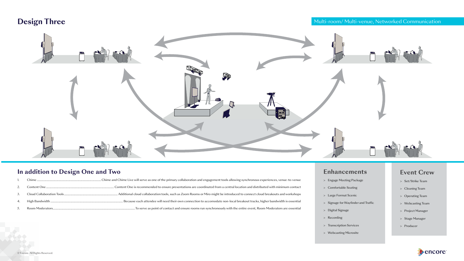## **Design Three Multi-room/ Multi-venue, Networked Communication**

ent tools allowing synchronous experiences, venue-to-venue rom a central location and distributed with minimum contact ht be introduced to connect cloud breakouts and workshops date non-local breakout tracks, higher bandwidth is essential onously with the entire event, Room Moderators are essential

![](_page_17_Picture_1.jpeg)

#### **In addition to Design One and Two**

| 3. |  |
|----|--|
| 4. |  |
| 5. |  |

#### **Enhancements**

- > Engage Meeting Package
- > Comfortable Seating
- > Large Format Scenic
- > Signage for Wayfinder and Traffic
- > Digital Signage
- > Recording
- > Transcription Services
- > Webcasting Microsite

#### **Event Crew**

- > Set/Strike Team
- > Cleaning Team
- > Operating Team
- > Webcasting Team
- > Project Manager
- > Stage Manager
- > Producer

![](_page_17_Picture_24.jpeg)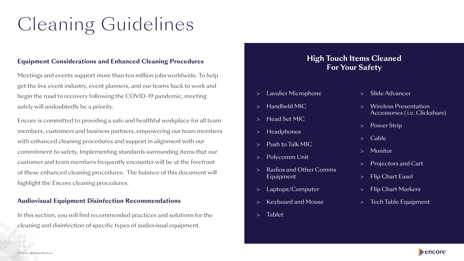## Cleaning Guidelines

#### **Equipment Considerations and Enhanced Cleaning Procedures**

Meetings and events support more than ten million jobs worldwide. To help get the live event industry, event planners, and our teams back to work and begin the road to recovery following the COVID-19 pandemic, meeting safely will undoubtedly be a priority.

Encore is committed to providing a safe and healthful workplace for all team members, customers and business partners, empowering our team members with enhanced cleaning procedures and support in alignment with our commitment to safety. Implementing standards surrounding items that our customer and team members frequently encounter will be at the forefront of these enhanced cleaning procedures. The balance of this document will highlight the Encore cleaning procedures.

#### **Audiovisual Equipment Disinfection Recommendations**

In this section, you will find recommended practices and solutions for the cleaning and disinfection of specific types of audiovisual equipment.

- > Lavalier Microphone
- > Handheld MIC
- > Head Set MIC
- > Headphones
- > Push to Talk MIC
- > Polycomm Unit
- > Radios and Other Comms Equipment
- > Laptops/Computer
- > Keyboard and Mouse
- > Tablet
- > Slide Advancer
- > Wireless Presentation Accessories ( i.e. Clickshare)
- > Power Strip
- > Cable
- > Monitor
- > Projectors and Cart
- > Flip Chart Easel
- > Flip Chart Markers
- > Tech Table Equipment

![](_page_18_Picture_27.jpeg)

![](_page_18_Picture_28.jpeg)

![](_page_18_Picture_30.jpeg)

### **High Touch Items Cleaned For Your Safety**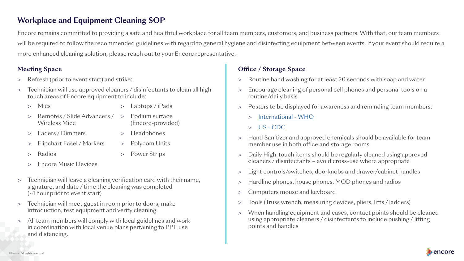### **Office / Storage Space**

## **Workplace and Equipment Cleaning SOP**

Encore remains committed to providing a safe and healthful workplace for all team members, customers, and business partners. With that, our team members will be required to follow the recommended guidelines with regard to general hygiene and disinfecting equipment between events. If your event should require a more enhanced cleaning solution, please reach out to your Encore representative.

### **Meeting Space**

- > Refresh (prior to event start) and strike:
- > Technician will use approved cleaners / disinfectants to clean all hightouch areas of Encore equipment to include:
	-
	- > Remotes / Slide Advancers / > Podium surface Wireless Mice (Encore-provided)
	- > Mics > Laptops/iPads
		-
	- > Faders / Dimmers > Headphones
	- > Flipchart Easel / Markers > Polycom Units
	-
	- > Radios > Power Strips
	- > Encore Music Devices
- > Technician will leave a cleaning verification card with their name, signature, and date / time the cleaning was completed (~1 hour prior to event start)
- > Technician will meet guest in room prior to doors, make introduction, test equipment and verify cleaning.
- > All team members will comply with local guidelines and work in coordination with local venue plans pertaining to PPE use and distancing.
- > Routine hand washing for at least 20 seconds with soap and water
- > Encourage cleaning of personal cell phones and personal tools on a routine/daily basis
- > Posters to be displayed for awareness and reminding team members:
	- > [International WHO](https://www.who.int/gpsc/5may/resources/posters/en/
)
	- > [US CDC](https://www.cdc.gov/handwashing/pdf/HH-Posters-Eng-Restroom-508.pdf
)
- > Hand Sanitizer and approved chemicals should be available for team member use in both office and storage rooms
- > Daily High-touch items should be regularly cleaned using approved cleaners / disinfectants – avoid cross-use where appropriate
- > Light controls/switches, doorknobs and drawer/cabinet handles
- > Hardline phones, house phones, MOD phones and radios
- > Computers mouse and keyboard
- > Tools (Truss wrench, measuring devices, pliers, lifts / ladders)
- > When handling equipment and cases, contact points should be cleaned using appropriate cleaners / disinfectants to include pushing / lifting points and handles

![](_page_19_Picture_31.jpeg)

![](_page_19_Picture_32.jpeg)

**A** encore